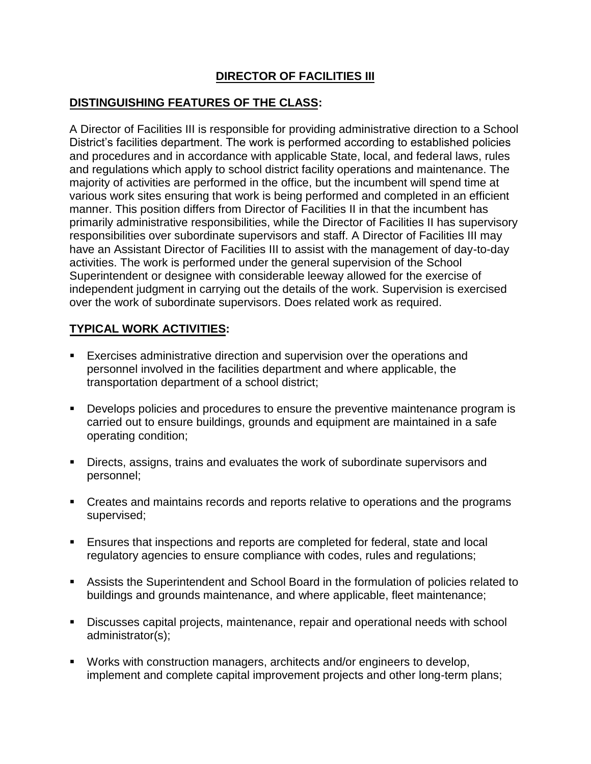# **DIRECTOR OF FACILITIES III**

### **DISTINGUISHING FEATURES OF THE CLASS:**

A Director of Facilities III is responsible for providing administrative direction to a School District's facilities department. The work is performed according to established policies and procedures and in accordance with applicable State, local, and federal laws, rules and regulations which apply to school district facility operations and maintenance. The majority of activities are performed in the office, but the incumbent will spend time at various work sites ensuring that work is being performed and completed in an efficient manner. This position differs from Director of Facilities II in that the incumbent has primarily administrative responsibilities, while the Director of Facilities II has supervisory responsibilities over subordinate supervisors and staff. A Director of Facilities III may have an Assistant Director of Facilities III to assist with the management of day-to-day activities. The work is performed under the general supervision of the School Superintendent or designee with considerable leeway allowed for the exercise of independent judgment in carrying out the details of the work. Supervision is exercised over the work of subordinate supervisors. Does related work as required.

## **TYPICAL WORK ACTIVITIES:**

- Exercises administrative direction and supervision over the operations and personnel involved in the facilities department and where applicable, the transportation department of a school district;
- Develops policies and procedures to ensure the preventive maintenance program is carried out to ensure buildings, grounds and equipment are maintained in a safe operating condition;
- Directs, assigns, trains and evaluates the work of subordinate supervisors and personnel;
- Creates and maintains records and reports relative to operations and the programs supervised;
- Ensures that inspections and reports are completed for federal, state and local regulatory agencies to ensure compliance with codes, rules and regulations;
- Assists the Superintendent and School Board in the formulation of policies related to buildings and grounds maintenance, and where applicable, fleet maintenance;
- Discusses capital projects, maintenance, repair and operational needs with school administrator(s);
- Works with construction managers, architects and/or engineers to develop, implement and complete capital improvement projects and other long-term plans;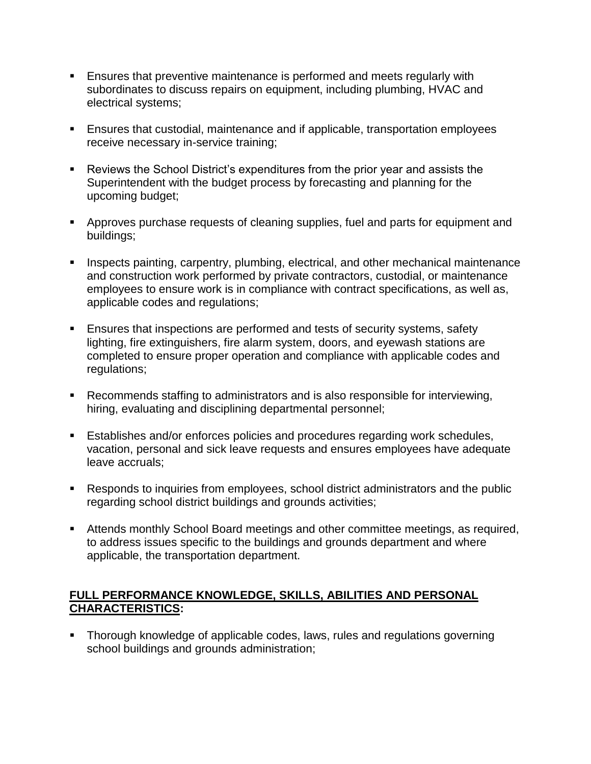- **Ensures that preventive maintenance is performed and meets regularly with** subordinates to discuss repairs on equipment, including plumbing, HVAC and electrical systems;
- Ensures that custodial, maintenance and if applicable, transportation employees receive necessary in-service training;
- Reviews the School District's expenditures from the prior year and assists the Superintendent with the budget process by forecasting and planning for the upcoming budget;
- Approves purchase requests of cleaning supplies, fuel and parts for equipment and buildings;
- **Inspects painting, carpentry, plumbing, electrical, and other mechanical maintenance** and construction work performed by private contractors, custodial, or maintenance employees to ensure work is in compliance with contract specifications, as well as, applicable codes and regulations;
- **Ensures that inspections are performed and tests of security systems, safety** lighting, fire extinguishers, fire alarm system, doors, and eyewash stations are completed to ensure proper operation and compliance with applicable codes and regulations;
- Recommends staffing to administrators and is also responsible for interviewing, hiring, evaluating and disciplining departmental personnel;
- Establishes and/or enforces policies and procedures regarding work schedules, vacation, personal and sick leave requests and ensures employees have adequate leave accruals;
- Responds to inquiries from employees, school district administrators and the public regarding school district buildings and grounds activities;
- Attends monthly School Board meetings and other committee meetings, as required, to address issues specific to the buildings and grounds department and where applicable, the transportation department.

## **FULL PERFORMANCE KNOWLEDGE, SKILLS, ABILITIES AND PERSONAL CHARACTERISTICS:**

**Thorough knowledge of applicable codes, laws, rules and regulations governing** school buildings and grounds administration;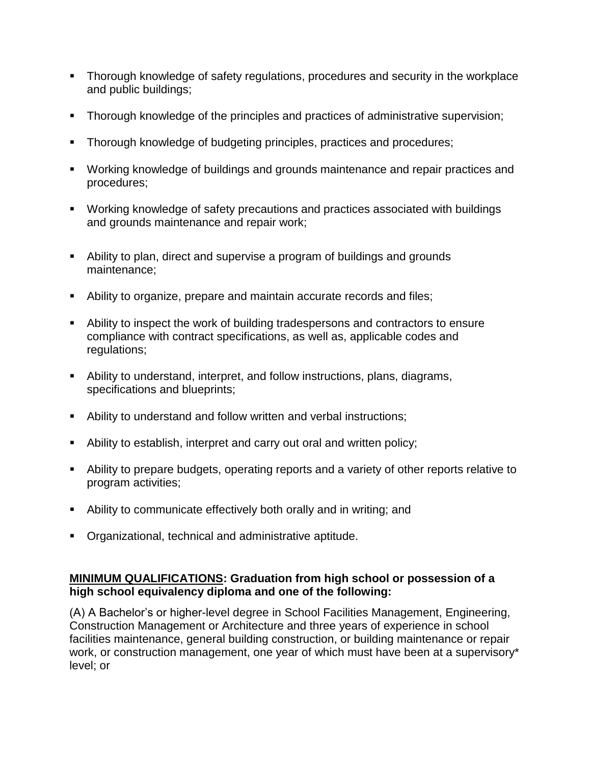- Thorough knowledge of safety regulations, procedures and security in the workplace and public buildings;
- Thorough knowledge of the principles and practices of administrative supervision;
- **Thorough knowledge of budgeting principles, practices and procedures;**
- Working knowledge of buildings and grounds maintenance and repair practices and procedures;
- Working knowledge of safety precautions and practices associated with buildings and grounds maintenance and repair work;
- Ability to plan, direct and supervise a program of buildings and grounds maintenance;
- Ability to organize, prepare and maintain accurate records and files;
- Ability to inspect the work of building tradespersons and contractors to ensure compliance with contract specifications, as well as, applicable codes and regulations;
- Ability to understand, interpret, and follow instructions, plans, diagrams, specifications and blueprints;
- Ability to understand and follow written and verbal instructions;
- Ability to establish, interpret and carry out oral and written policy;
- Ability to prepare budgets, operating reports and a variety of other reports relative to program activities;
- Ability to communicate effectively both orally and in writing; and
- **•** Organizational, technical and administrative aptitude.

## **MINIMUM QUALIFICATIONS: Graduation from high school or possession of a high school equivalency diploma and one of the following:**

(A) A Bachelor's or higher-level degree in School Facilities Management, Engineering, Construction Management or Architecture and three years of experience in school facilities maintenance, general building construction, or building maintenance or repair work, or construction management, one year of which must have been at a supervisory\* level; or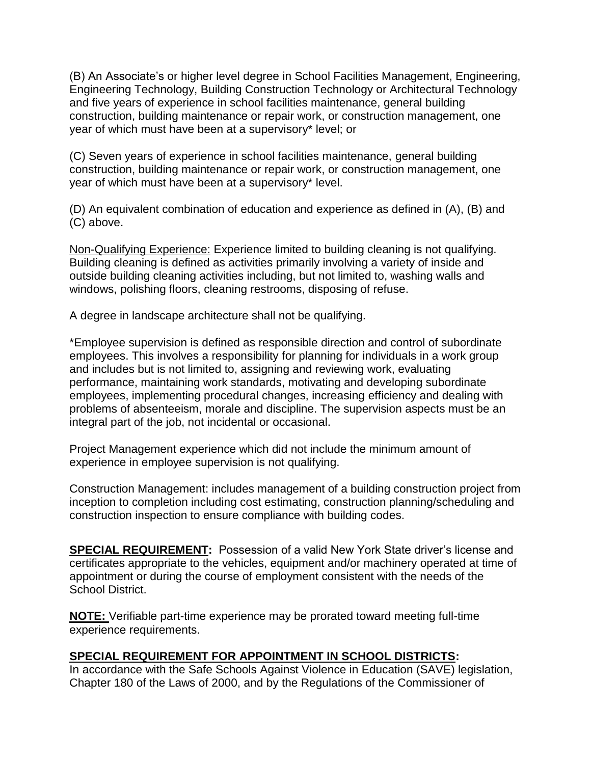(B) An Associate's or higher level degree in School Facilities Management, Engineering, Engineering Technology, Building Construction Technology or Architectural Technology and five years of experience in school facilities maintenance, general building construction, building maintenance or repair work, or construction management, one year of which must have been at a supervisory\* level; or

(C) Seven years of experience in school facilities maintenance, general building construction, building maintenance or repair work, or construction management, one year of which must have been at a supervisory\* level.

(D) An equivalent combination of education and experience as defined in (A), (B) and (C) above.

Non-Qualifying Experience: Experience limited to building cleaning is not qualifying. Building cleaning is defined as activities primarily involving a variety of inside and outside building cleaning activities including, but not limited to, washing walls and windows, polishing floors, cleaning restrooms, disposing of refuse.

A degree in landscape architecture shall not be qualifying.

\*Employee supervision is defined as responsible direction and control of subordinate employees. This involves a responsibility for planning for individuals in a work group and includes but is not limited to, assigning and reviewing work, evaluating performance, maintaining work standards, motivating and developing subordinate employees, implementing procedural changes, increasing efficiency and dealing with problems of absenteeism, morale and discipline. The supervision aspects must be an integral part of the job, not incidental or occasional.

Project Management experience which did not include the minimum amount of experience in employee supervision is not qualifying.

Construction Management: includes management of a building construction project from inception to completion including cost estimating, construction planning/scheduling and construction inspection to ensure compliance with building codes.

**SPECIAL REQUIREMENT:** Possession of a valid New York State driver's license and certificates appropriate to the vehicles, equipment and/or machinery operated at time of appointment or during the course of employment consistent with the needs of the School District.

**NOTE:** Verifiable part-time experience may be prorated toward meeting full-time experience requirements.

## **SPECIAL REQUIREMENT FOR APPOINTMENT IN SCHOOL DISTRICTS:**

In accordance with the Safe Schools Against Violence in Education (SAVE) legislation, Chapter 180 of the Laws of 2000, and by the Regulations of the Commissioner of